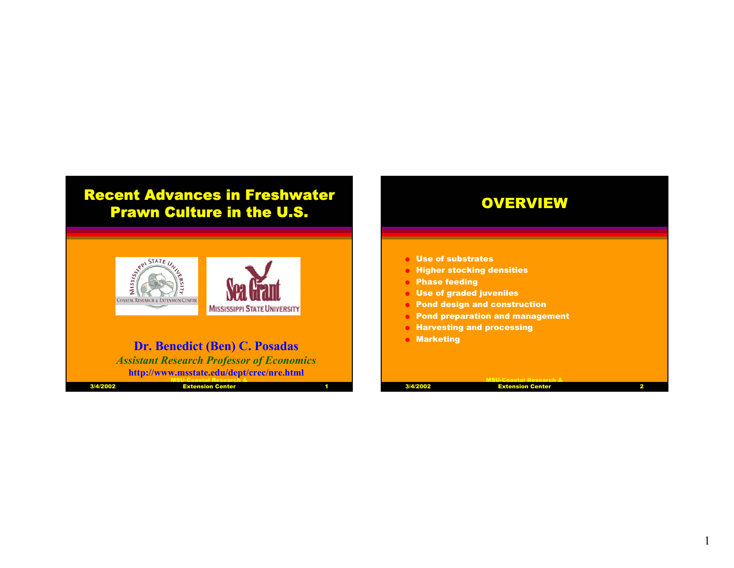# Recent Advances in Freshwater Prawn Culture in the U.S.



# **Dr. Benedict (Ben) C. Posadas**

*Assistant Research Professor of Economics* **http://www.msstate.edu/dept/crec/nre.html**

| 3/4/2002 | <b>Extension Center</b> |  |
|----------|-------------------------|--|

| <b>Use of substrates</b>          |                                        |
|-----------------------------------|----------------------------------------|
|                                   | <b>Higher stocking densities</b>       |
| <b>Phase feeding</b><br>$\bullet$ |                                        |
| Use of graded juveniles           |                                        |
| $\bullet$                         | <b>Pond design and construction</b>    |
| $\bullet$                         | <b>Pond preparation and management</b> |
|                                   | <b>• Harvesting and processing</b>     |
| <b>Marketing</b>                  |                                        |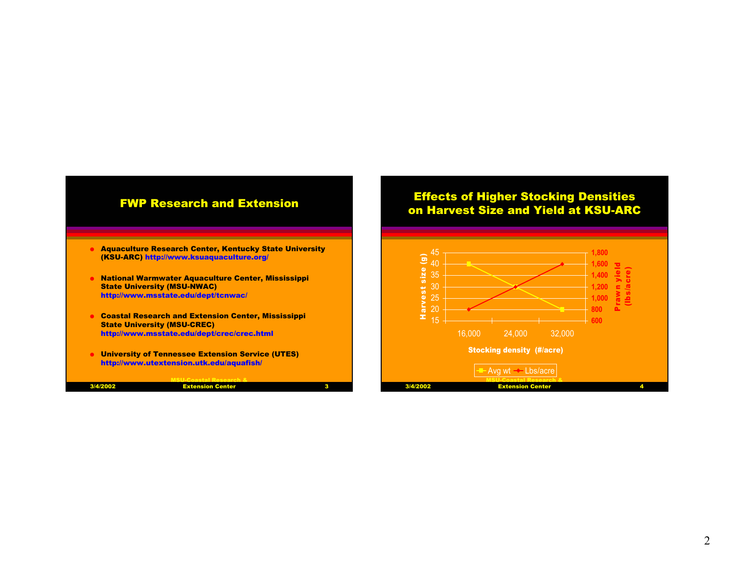

| 3/4/2002 | <b>Extensio</b><br>. |  |
|----------|----------------------|--|
|          |                      |  |

#### Effects of Higher Stocking Densities on Harvest Size and Yield at KSU-ARC

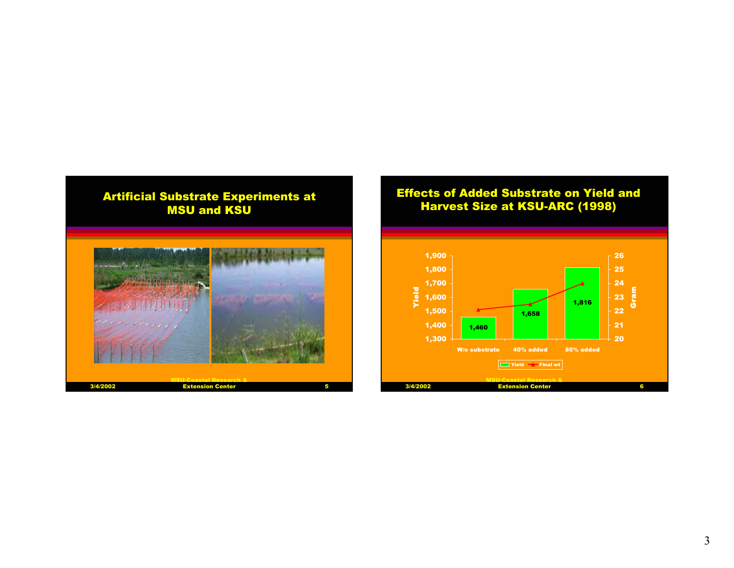

# Effects of Added Substrate on Yield and Harvest Size at KSU-ARC (1998)

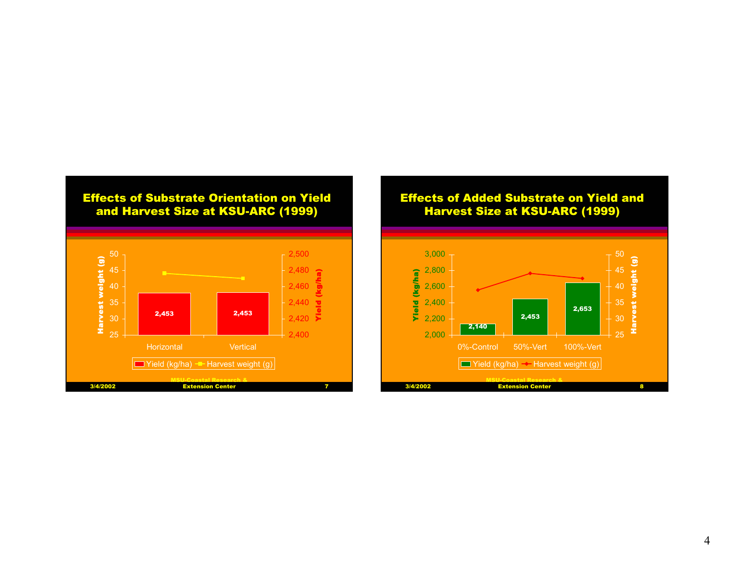

#### Effects of Added Substrate on Yield and Harvest Size at KSU-ARC (1999)

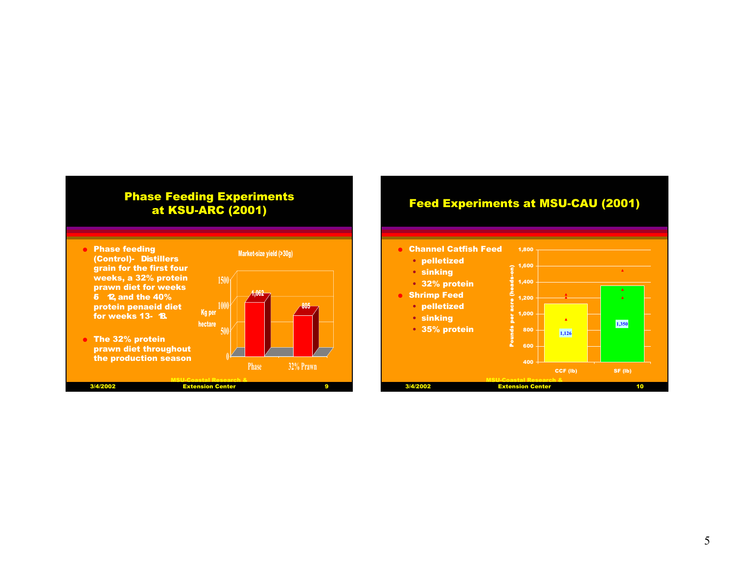# Phase Feeding Experiments at KSU-ARC (2001)





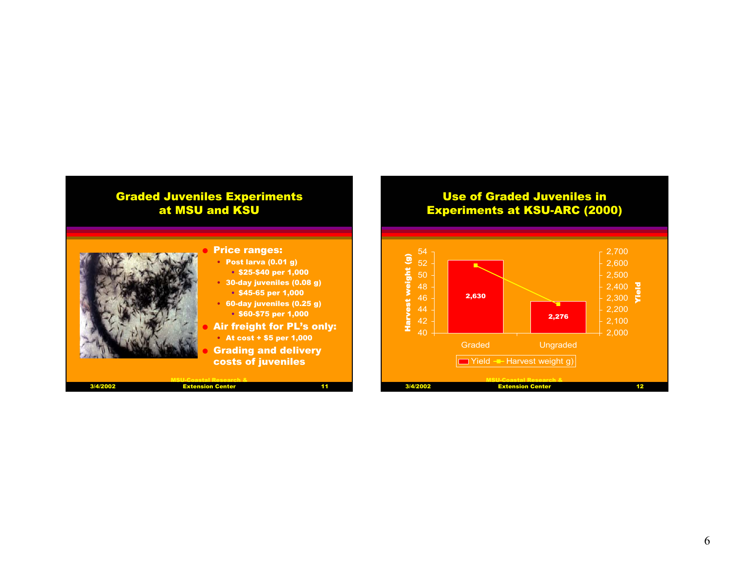# Graded Juveniles Experiments at MSU and KSU

#### Use of Graded Juveniles in Experiments at KSU-ARC (2000)





3/4/2002

### Price ranges:

- Post larva (0.01 g) • \$25-\$40 per 1,000
- 30-day juveniles (0.08 g) • \$45-65 per 1,000
- 60-day juveniles (0.25 g) • \$60-\$75 per 1,000

#### Air freight for PL's only:

 $11$ 

• At cost + \$5 per 1,000

 Grading and delivery costs of juveniles

MSU-Coastal Research & Extension Center 11<br>Extension Center 11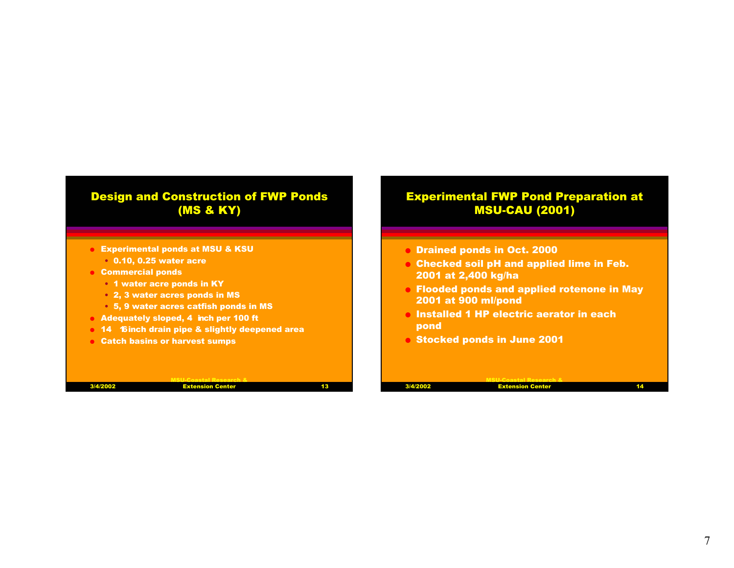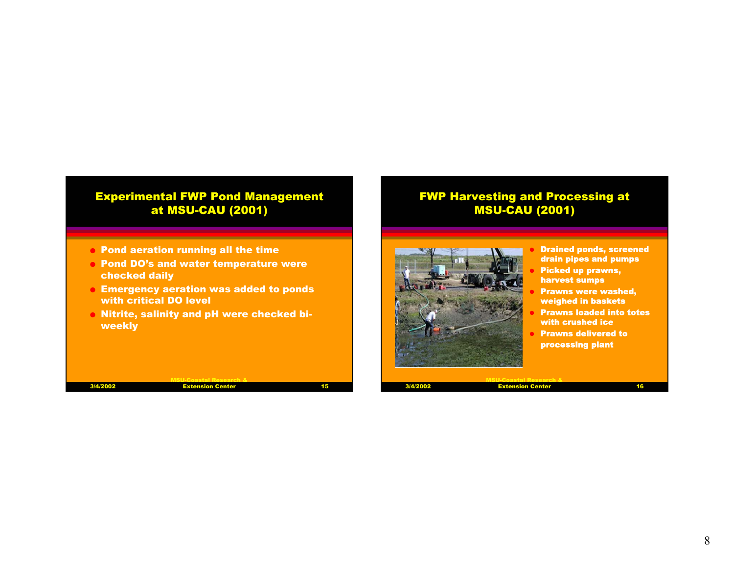# Experimental FWP Pond Management at MSU-CAU (2001)

- $\bullet\,$  Pond aeration running all the time
- O Pond DO's and water temperature were checked daily
- $\bullet\,$  Emergency aeration was added to ponds with critical DO level
- O Nitrite, salinity and pH were checked biweekly

| 3/4/2002 | <b>Extension Center</b> | 15 |
|----------|-------------------------|----|
|          |                         |    |

# FWP Harvesting and Processing at MSU-CAU (2001)



- Drained ponds, screened drain pipes and pumps Picked up prawns, harvest sumps
- Prawns were washed, weighed in baskets
- Prawns loaded into totes with crushed ice
- Prawns delivered to processing plant

3/4/2002

MSU-Coastal Research & Extension Center 16<br>Extension Center 16